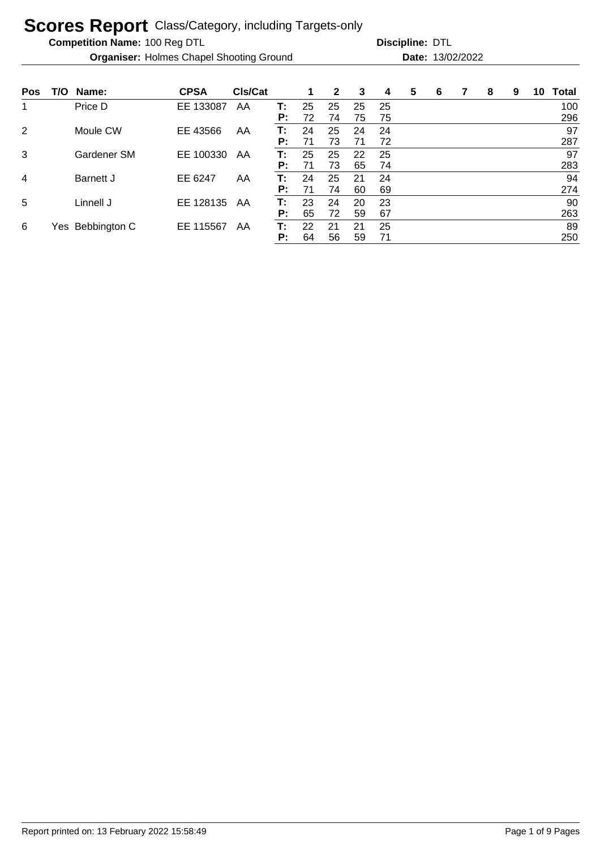**Competition Name:**

**Organiser:** Holmes Chapel Shooting Ground **13/02/2022 Date:** 13/02/2022

| <b>Pos</b>     | T/O | Name:        | <b>CPSA</b> | CIs/Cat |          | 1        | $\mathbf{2}$ | 3        | 4        | 5 | 6 | 7 | 8 | 9 | 10 | <b>Total</b> |
|----------------|-----|--------------|-------------|---------|----------|----------|--------------|----------|----------|---|---|---|---|---|----|--------------|
| 1              |     | Price D      | EE 133087   | AA      | т:       | 25       | 25           | 25       | 25       |   |   |   |   |   |    | 100          |
| $\overline{2}$ |     | Moule CW     | EE 43566    | AA      | P:<br>т: | 72<br>24 | 74<br>25     | 75<br>24 | 75<br>24 |   |   |   |   |   |    | 296<br>97    |
|                |     |              |             |         | P:       | 71       | 73           | 71       | 72       |   |   |   |   |   |    | 287          |
| 3              |     | Gardener SM  | EE 100330   | AA      | т:       | 25       | 25           | 22       | 25       |   |   |   |   |   |    | 97           |
|                |     |              |             |         | P:       | 71       | 73           | 65       | 74       |   |   |   |   |   |    | 283          |
| 4              |     | Barnett J    | EE 6247     | AA      | т:       | 24       | 25           | 21       | 24       |   |   |   |   |   |    | 94           |
|                |     |              |             |         | P:       | 71       | 74           | 60       | 69       |   |   |   |   |   |    | 274          |
| 5              |     | Linnell J    | EE 128135   | AA      | т:       | 23       | 24           | 20       | 23       |   |   |   |   |   |    | 90           |
|                |     |              |             |         | P:       | 65       | 72           | 59       | 67       |   |   |   |   |   |    | 263          |
| 6              | Yes | Bebbington C | EE 115567   | AA      | т:       | 22       | 21           | 21       | 25       |   |   |   |   |   |    | 89           |
|                |     |              |             |         | P:       | 64       | 56           | 59       | 71       |   |   |   |   |   |    | 250          |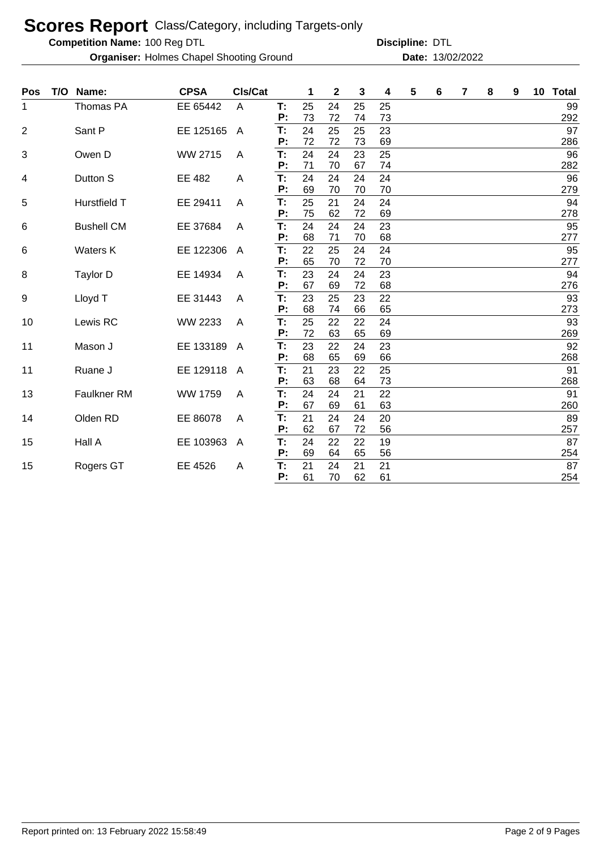**Competition Name:**

**Organiser:** Holmes Chapel Shooting Ground **13/02/2022 Date:** 13/02/2022

| <b>Pos</b>     | T/O Name:         | <b>CPSA</b> | CIs/Cat        |    | 1  | $\mathbf 2$ | 3  | 4  | 5 | 6 | 7 | 8 | 9 | 10 <sub>1</sub> | <b>Total</b> |
|----------------|-------------------|-------------|----------------|----|----|-------------|----|----|---|---|---|---|---|-----------------|--------------|
| 1              | Thomas PA         | EE 65442    | $\overline{A}$ | T: | 25 | 24          | 25 | 25 |   |   |   |   |   |                 | 99           |
|                |                   |             |                | P: | 73 | 72          | 74 | 73 |   |   |   |   |   |                 | 292          |
| $\overline{2}$ | Sant P            | EE 125165   | $\overline{A}$ | T: | 24 | 25          | 25 | 23 |   |   |   |   |   |                 | 97           |
|                |                   |             |                | P: | 72 | 72          | 73 | 69 |   |   |   |   |   |                 | 286          |
| 3              | Owen D            | WW 2715     | A              | T: | 24 | 24          | 23 | 25 |   |   |   |   |   |                 | 96           |
|                |                   |             |                | P: | 71 | 70          | 67 | 74 |   |   |   |   |   |                 | 282          |
| 4              | Dutton S          | EE 482      | A              | T: | 24 | 24          | 24 | 24 |   |   |   |   |   |                 | 96           |
|                |                   |             |                | P: | 69 | 70          | 70 | 70 |   |   |   |   |   |                 | 279          |
| 5              | Hurstfield T      | EE 29411    | A              | T: | 25 | 21          | 24 | 24 |   |   |   |   |   |                 | 94           |
|                |                   |             |                | P: | 75 | 62          | 72 | 69 |   |   |   |   |   |                 | 278          |
| 6              | <b>Bushell CM</b> | EE 37684    | A              | T: | 24 | 24          | 24 | 23 |   |   |   |   |   |                 | 95           |
|                |                   |             |                | P: | 68 | 71          | 70 | 68 |   |   |   |   |   |                 | 277          |
| 6              | Waters K          | EE 122306   | A              | T: | 22 | 25          | 24 | 24 |   |   |   |   |   |                 | 95           |
|                |                   |             |                | P: | 65 | 70          | 72 | 70 |   |   |   |   |   |                 | 277          |
| 8              | Taylor D          | EE 14934    | A              | T: | 23 | 24          | 24 | 23 |   |   |   |   |   |                 | 94           |
|                |                   |             |                | P: | 67 | 69          | 72 | 68 |   |   |   |   |   |                 | 276          |
| 9              | Lloyd T           | EE 31443    | A              | T: | 23 | 25          | 23 | 22 |   |   |   |   |   |                 | 93           |
|                |                   |             |                | P: | 68 | 74          | 66 | 65 |   |   |   |   |   |                 | 273          |
| 10             | Lewis RC          | WW 2233     | A              | T: | 25 | 22          | 22 | 24 |   |   |   |   |   |                 | 93           |
|                |                   |             |                | P: | 72 | 63          | 65 | 69 |   |   |   |   |   |                 | 269          |
| 11             | Mason J           | EE 133189   | A              | T: | 23 | 22          | 24 | 23 |   |   |   |   |   |                 | 92           |
|                |                   |             |                | P: | 68 | 65          | 69 | 66 |   |   |   |   |   |                 | 268          |
| 11             | Ruane J           | EE 129118   | $\mathsf{A}$   | T: | 21 | 23          | 22 | 25 |   |   |   |   |   |                 | 91           |
|                |                   |             |                | P: | 63 | 68          | 64 | 73 |   |   |   |   |   |                 | 268          |
| 13             | Faulkner RM       | WW 1759     | A              | T: | 24 | 24          | 21 | 22 |   |   |   |   |   |                 | 91           |
|                |                   |             |                | P: | 67 | 69          | 61 | 63 |   |   |   |   |   |                 | 260          |
| 14             | Olden RD          | EE 86078    | A              | T: | 21 | 24          | 24 | 20 |   |   |   |   |   |                 | 89           |
|                |                   |             |                | P: | 62 | 67          | 72 | 56 |   |   |   |   |   |                 | 257          |
| 15             | Hall A            | EE 103963   | A              | T: | 24 | 22          | 22 | 19 |   |   |   |   |   |                 | 87           |
|                |                   |             |                | P: | 69 | 64          | 65 | 56 |   |   |   |   |   |                 | 254          |
| 15             | Rogers GT         | EE 4526     | A              | T: | 21 | 24          | 21 | 21 |   |   |   |   |   |                 | 87           |
|                |                   |             |                | P: | 61 | 70          | 62 | 61 |   |   |   |   |   |                 | 254          |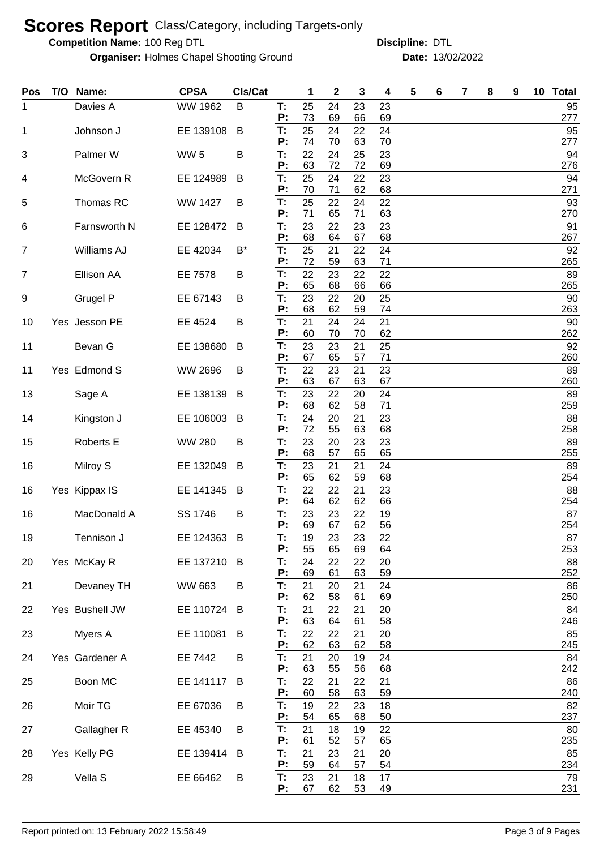**Competition Name:**

**Organiser:** Holmes Chapel Shooting Ground **13/02/2022 Date:** 13/02/2022

| Pos            | T/O Name:          | <b>CPSA</b>     | Cls/Cat |          | 1        | 2        | 3        | 4        | 5 | 6 | 7 | 8 | 9 | 10 <sup>1</sup> | <b>Total</b> |  |
|----------------|--------------------|-----------------|---------|----------|----------|----------|----------|----------|---|---|---|---|---|-----------------|--------------|--|
| 1              | Davies A           | WW 1962         | B       | T:<br>P: | 25<br>73 | 24<br>69 | 23<br>66 | 23<br>69 |   |   |   |   |   |                 | 95<br>277    |  |
| 1              | Johnson J          | EE 139108       | B       | T:       | 25       | 24       | 22       | 24       |   |   |   |   |   |                 | 95           |  |
| 3              | Palmer W           | WW <sub>5</sub> | B       | P:<br>T: | 74<br>22 | 70<br>24 | 63<br>25 | 70<br>23 |   |   |   |   |   |                 | 277<br>94    |  |
|                |                    |                 |         | P:<br>T: | 63       | 72       | 72       | 69       |   |   |   |   |   |                 | 276          |  |
| 4              | McGovern R         | EE 124989       | B       | P:       | 25<br>70 | 24<br>71 | 22<br>62 | 23<br>68 |   |   |   |   |   |                 | 94<br>271    |  |
| 5              | Thomas RC          | <b>WW 1427</b>  | B       | T:<br>P: | 25<br>71 | 22<br>65 | 24<br>71 | 22<br>63 |   |   |   |   |   |                 | 93<br>270    |  |
| 6              | Farnsworth N       | EE 128472       | B       | T:       | 23       | 22       | 23       | 23       |   |   |   |   |   |                 | 91           |  |
| $\overline{7}$ | <b>Williams AJ</b> | EE 42034        | $B^*$   | P:<br>T: | 68<br>25 | 64<br>21 | 67<br>22 | 68<br>24 |   |   |   |   |   |                 | 267<br>92    |  |
| 7              | <b>Ellison AA</b>  | EE 7578         | B       | P:<br>T: | 72<br>22 | 59<br>23 | 63<br>22 | 71<br>22 |   |   |   |   |   |                 | 265<br>89    |  |
|                |                    |                 |         | P:       | 65       | 68       | 66       | 66       |   |   |   |   |   |                 | 265          |  |
| 9              | Grugel P           | EE 67143        | B       | T:<br>P: | 23<br>68 | 22<br>62 | 20<br>59 | 25<br>74 |   |   |   |   |   |                 | 90<br>263    |  |
| 10             | Yes Jesson PE      | EE 4524         | B       | T:       | 21       | 24       | 24       | 21       |   |   |   |   |   |                 | 90           |  |
| 11             | Bevan G            | EE 138680       | B       | P:<br>T: | 60<br>23 | 70<br>23 | 70<br>21 | 62<br>25 |   |   |   |   |   |                 | 262<br>92    |  |
|                |                    |                 |         | P:       | 67       | 65       | 57       | 71       |   |   |   |   |   |                 | 260          |  |
| 11             | Yes Edmond S       | WW 2696         | B       | T:<br>P: | 22<br>63 | 23<br>67 | 21<br>63 | 23<br>67 |   |   |   |   |   |                 | 89<br>260    |  |
| 13             | Sage A             | EE 138139       | B       | T:<br>P: | 23<br>68 | 22<br>62 | 20<br>58 | 24<br>71 |   |   |   |   |   |                 | 89<br>259    |  |
| 14             | Kingston J         | EE 106003       | B       | T:       | 24       | 20       | 21       | 23       |   |   |   |   |   |                 | 88           |  |
| 15             | Roberts E          | <b>WW 280</b>   | B       | P:<br>T: | 72<br>23 | 55<br>20 | 63<br>23 | 68<br>23 |   |   |   |   |   |                 | 258<br>89    |  |
|                |                    |                 |         | P:       | 68       | 57       | 65       | 65       |   |   |   |   |   |                 | 255          |  |
| 16             | Milroy S           | EE 132049       | B       | T:<br>P: | 23<br>65 | 21<br>62 | 21<br>59 | 24<br>68 |   |   |   |   |   |                 | 89<br>254    |  |
| 16             | Yes Kippax IS      | EE 141345       | B       | T:<br>Ρ. | 22<br>64 | 22       | 21<br>62 | 23       |   |   |   |   |   |                 | 88           |  |
| 16             | MacDonald A        | SS 1746         | B       | T:       | 23       | 62<br>23 | 22       | 66<br>19 |   |   |   |   |   |                 | 254<br>87    |  |
| 19             | Tennison J         | EE 124363       | B       | P:<br>T: | 69<br>19 | 67<br>23 | 62<br>23 | 56<br>22 |   |   |   |   |   |                 | 254<br>87    |  |
|                |                    |                 |         | P:       | 55       | 65       | 69       | 64       |   |   |   |   |   |                 | 253          |  |
| 20             | Yes McKay R        | EE 137210       | B       | T:<br>P: | 24<br>69 | 22<br>61 | 22<br>63 | 20<br>59 |   |   |   |   |   |                 | 88<br>252    |  |
| 21             | Devaney TH         | WW 663          | B       | T:       | 21       | 20       | 21       | 24       |   |   |   |   |   |                 | 86           |  |
| 22             | Yes Bushell JW     | EE 110724       | B       | P:<br>T: | 62<br>21 | 58<br>22 | 61<br>21 | 69<br>20 |   |   |   |   |   |                 | 250<br>84    |  |
|                |                    |                 |         | P:       | 63       | 64       | 61       | 58       |   |   |   |   |   |                 | 246          |  |
| 23             | Myers A            | EE 110081       | B       | T:<br>P: | 22<br>62 | 22<br>63 | 21<br>62 | 20<br>58 |   |   |   |   |   |                 | 85<br>245    |  |
| 24             | Yes Gardener A     | EE 7442         | B       | T:       | 21       | 20       | 19       | 24       |   |   |   |   |   |                 | 84           |  |
| 25             | Boon MC            | EE 141117       | B       | P:<br>T: | 63<br>22 | 55<br>21 | 56<br>22 | 68<br>21 |   |   |   |   |   |                 | 242<br>86    |  |
| 26             | Moir TG            | EE 67036        | B       | P:<br>T: | 60<br>19 | 58<br>22 | 63<br>23 | 59<br>18 |   |   |   |   |   |                 | 240<br>82    |  |
|                |                    |                 |         | P:       | 54       | 65       | 68       | 50       |   |   |   |   |   |                 | 237          |  |
| 27             | Gallagher R        | EE 45340        | B       | T:<br>P: | 21<br>61 | 18<br>52 | 19<br>57 | 22<br>65 |   |   |   |   |   |                 | 80<br>235    |  |
| 28             | Yes Kelly PG       | EE 139414       | B       | T:       | 21       | 23       | 21       | 20       |   |   |   |   |   |                 | 85           |  |
| 29             | Vella S            | EE 66462        | B       | P:<br>T: | 59<br>23 | 64<br>21 | 57<br>18 | 54<br>17 |   |   |   |   |   |                 | 234<br>79    |  |
|                |                    |                 |         | P:       | 67       | 62       | 53       | 49       |   |   |   |   |   |                 | 231          |  |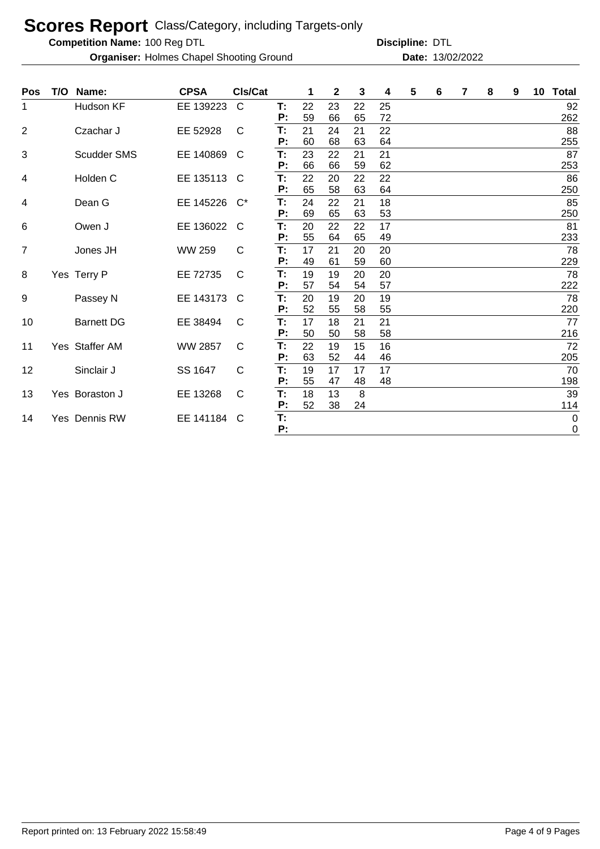**Competition Name:**

**Organiser:** Holmes Chapel Shooting Ground **13/02/2022 Date:** 13/02/2022

| <b>Pos</b>              | T/O | Name:             | <b>CPSA</b>    | CIs/Cat      |          |          | 2        | 3        | 4        | 5 | 6 | $\overline{7}$ | 8 | 9 | 10 Total    |
|-------------------------|-----|-------------------|----------------|--------------|----------|----------|----------|----------|----------|---|---|----------------|---|---|-------------|
| 1                       |     | Hudson KF         | EE 139223      | C            | T:       | 22       | 23       | 22       | 25       |   |   |                |   |   | 92          |
|                         |     |                   |                |              | P:       | 59       | 66       | 65       | 72       |   |   |                |   |   | 262         |
| $\overline{2}$          |     | Czachar J         | EE 52928       | $\mathsf{C}$ | T:       | 21       | 24       | 21       | 22       |   |   |                |   |   | 88          |
|                         |     |                   |                |              | P:       | 60       | 68       | 63       | 64       |   |   |                |   |   | 255         |
| 3                       |     | Scudder SMS       | EE 140869      | C            | T:       | 23       | 22       | 21       | 21       |   |   |                |   |   | 87          |
|                         |     |                   |                |              | P:       | 66       | 66       | 59       | 62       |   |   |                |   |   | 253         |
| $\overline{\mathbf{4}}$ |     | Holden C          | EE 135113      | C            | T:       | 22       | 20       | 22       | 22       |   |   |                |   |   | 86          |
|                         |     |                   |                |              | P:       | 65       | 58       | 63       | 64       |   |   |                |   |   | 250         |
| 4                       |     | Dean G            | EE 145226      | $C^*$        | T:       | 24       | 22       | 21       | 18       |   |   |                |   |   | 85          |
|                         |     |                   |                |              | P:       | 69       | 65       | 63       | 53       |   |   |                |   |   | 250         |
| 6                       |     | Owen J            | EE 136022      | C            | T:       | 20       | 22       | 22       | 17       |   |   |                |   |   | 81          |
|                         |     |                   |                |              | P:       | 55       | 64       | 65       | 49       |   |   |                |   |   | 233         |
| 7                       |     | Jones JH          | <b>WW 259</b>  | C            | T:       | 17       | 21       | 20       | 20       |   |   |                |   |   | 78          |
|                         |     |                   |                |              | Ρ:       | 49       | 61       | 59       | 60       |   |   |                |   |   | 229         |
| 8                       |     | Yes Terry P       | EE 72735       | C            | T:       | 19       | 19       | 20       | 20       |   |   |                |   |   | 78          |
|                         |     |                   |                |              | P:       | 57       | 54       | 54       | 57       |   |   |                |   |   | 222         |
| 9                       |     | Passey N          | EE 143173      | C            | T:       | 20       | 19       | 20       | 19       |   |   |                |   |   | 78          |
|                         |     |                   |                |              | Ρ:       | 52       | 55       | 58       | 55       |   |   |                |   |   | 220         |
| 10                      |     | <b>Barnett DG</b> | EE 38494       | C            | T:       | 17       | 18       | 21       | 21       |   |   |                |   |   | 77          |
|                         |     |                   |                |              | Ρ:       | 50       | 50       | 58       | 58       |   |   |                |   |   | 216         |
| 11                      |     | Yes Staffer AM    | <b>WW 2857</b> | C            | T:<br>P: | 22<br>63 | 19       | 15       | 16       |   |   |                |   |   | 72          |
|                         |     |                   |                |              |          |          | 52       | 44       | 46       |   |   |                |   |   | 205         |
| 12                      |     | Sinclair J        | SS 1647        | C            | Т:<br>P: | 19<br>55 | 17<br>47 | 17<br>48 | 17<br>48 |   |   |                |   |   | 70<br>198   |
|                         |     |                   |                |              |          | 18       |          |          |          |   |   |                |   |   |             |
| 13                      |     | Yes Boraston J    | EE 13268       | C            | T:<br>P: | 52       | 13<br>38 | 8<br>24  |          |   |   |                |   |   | 39<br>114   |
| 14                      |     | Yes Dennis RW     | EE 141184      | C            | T:       |          |          |          |          |   |   |                |   |   | $\mathbf 0$ |
|                         |     |                   |                |              | P:       |          |          |          |          |   |   |                |   |   | 0           |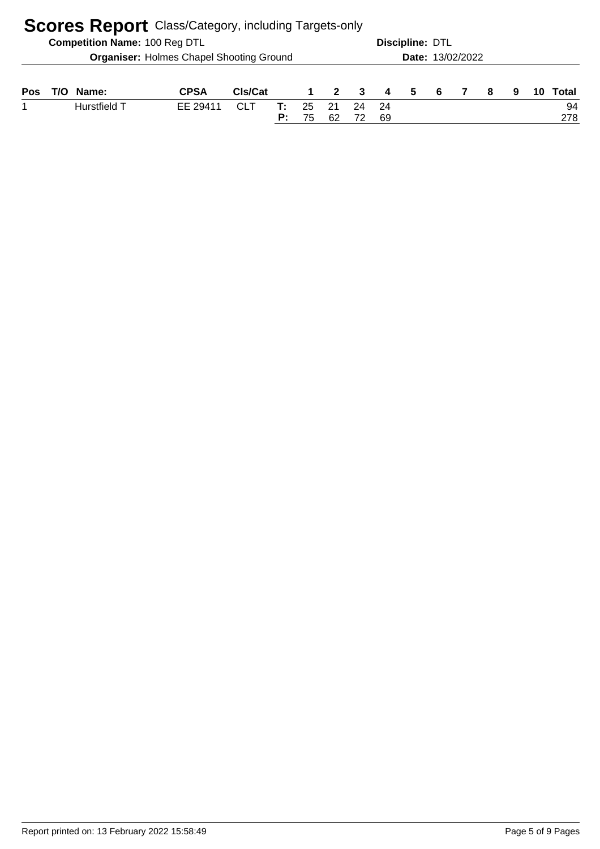|     | <b>Scores Report</b> Class/Category, including Targets-only |                                      |                                                 |            |          |          |                         |                         |                |                 |                  |  |    |   |  |           |
|-----|-------------------------------------------------------------|--------------------------------------|-------------------------------------------------|------------|----------|----------|-------------------------|-------------------------|----------------|-----------------|------------------|--|----|---|--|-----------|
|     |                                                             | <b>Competition Name: 100 Reg DTL</b> |                                                 |            |          |          |                         |                         |                | Discipline: DTL |                  |  |    |   |  |           |
|     |                                                             |                                      | <b>Organiser: Holmes Chapel Shooting Ground</b> |            |          |          |                         |                         |                |                 | Date: 13/02/2022 |  |    |   |  |           |
| Pos | T/O                                                         | Name:                                | <b>CPSA</b>                                     | CIs/Cat    |          |          | $\overline{\mathbf{2}}$ | $\overline{\mathbf{3}}$ | $\overline{4}$ | 5.              | -6               |  | -8 | 9 |  | Total     |
|     |                                                             | Hurstfield T                         | EE 29411                                        | <b>CLT</b> | т:<br>P: | 25<br>75 | 21<br>62                | 24                      | - 24<br>69     |                 |                  |  |    |   |  | 94<br>278 |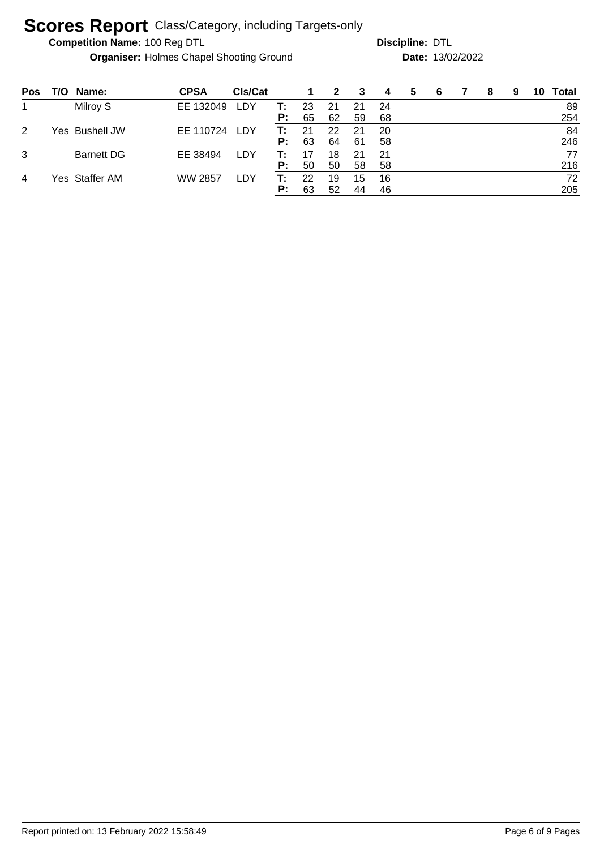**Competition Name:**

**Organiser:** Holmes Chapel Shooting Ground **13/02/2022 Date:** 13/02/2022

| <b>Pos</b> | T/O | Name:             | <b>CPSA</b>    | CIs/Cat    |    | 1  | $\mathbf{2}$ | -3 | 4   | 5 | 6 | 8 | 9 | 10 | Total |
|------------|-----|-------------------|----------------|------------|----|----|--------------|----|-----|---|---|---|---|----|-------|
|            |     | Milroy S          | EE 132049      | LDY        | т: | 23 | 21           | 21 | -24 |   |   |   |   |    | 89    |
|            |     |                   |                |            | P: | 65 | 62           | 59 | 68  |   |   |   |   |    | 254   |
| 2          |     | Yes Bushell JW    | EE 110724      | LDY        | т: | 21 | 22           | 21 | 20  |   |   |   |   |    | 84    |
|            |     |                   |                |            | P: | 63 | 64           | 61 | 58  |   |   |   |   |    | 246   |
| 3          |     | <b>Barnett DG</b> | EE 38494       | LDY        | T٠ |    | 18           | 21 | -21 |   |   |   |   |    | 77    |
|            |     |                   |                |            | P: | 50 | 50           | 58 | 58  |   |   |   |   |    | 216   |
| 4          |     | Yes Staffer AM    | <b>WW 2857</b> | <b>LDY</b> | т: | 22 | 19           | 15 | 16  |   |   |   |   |    | 72    |
|            |     |                   |                |            | P: | 63 | 52           | 44 | 46  |   |   |   |   |    | 205   |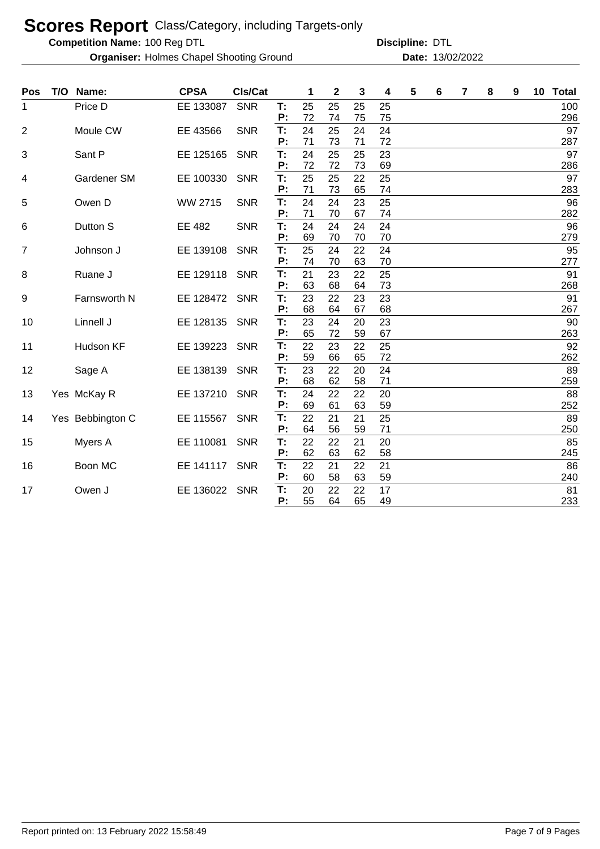**Competition Name:**

**Organiser:** Holmes Chapel Shooting Ground **13/02/2022 Date:** 13/02/2022

| Pos            | T/O | Name:            | <b>CPSA</b> | CIs/Cat    |          | 1        | $\mathbf 2$ | 3        | 4        | 5 | 6 | 7 | 8 | 9 | 10 | <b>Total</b> |
|----------------|-----|------------------|-------------|------------|----------|----------|-------------|----------|----------|---|---|---|---|---|----|--------------|
| 1              |     | Price D          | EE 133087   | <b>SNR</b> | т:<br>Ρ: | 25<br>72 | 25<br>74    | 25<br>75 | 25<br>75 |   |   |   |   |   |    | 100<br>296   |
| $\overline{2}$ |     | Moule CW         | EE 43566    | <b>SNR</b> | T:<br>P: | 24<br>71 | 25<br>73    | 24<br>71 | 24<br>72 |   |   |   |   |   |    | 97<br>287    |
| 3              |     | Sant P           | EE 125165   | <b>SNR</b> | T:<br>P: | 24<br>72 | 25<br>72    | 25<br>73 | 23<br>69 |   |   |   |   |   |    | 97<br>286    |
| 4              |     | Gardener SM      | EE 100330   | <b>SNR</b> | T:<br>Р: | 25<br>71 | 25<br>73    | 22<br>65 | 25<br>74 |   |   |   |   |   |    | 97<br>283    |
| 5              |     | Owen D           | WW 2715     | <b>SNR</b> | T:<br>P: | 24<br>71 | 24<br>70    | 23<br>67 | 25<br>74 |   |   |   |   |   |    | 96<br>282    |
| 6              |     | Dutton S         | EE 482      | <b>SNR</b> | T:<br>Ρ: | 24<br>69 | 24<br>70    | 24<br>70 | 24<br>70 |   |   |   |   |   |    | 96<br>279    |
| 7              |     | Johnson J        | EE 139108   | <b>SNR</b> | T:<br>P: | 25<br>74 | 24<br>70    | 22<br>63 | 24<br>70 |   |   |   |   |   |    | 95<br>277    |
| 8              |     | Ruane J          | EE 129118   | <b>SNR</b> | T:<br>P: | 21<br>63 | 23<br>68    | 22<br>64 | 25<br>73 |   |   |   |   |   |    | 91<br>268    |
| 9              |     | Farnsworth N     | EE 128472   | <b>SNR</b> | T:<br>Р: | 23<br>68 | 22<br>64    | 23<br>67 | 23<br>68 |   |   |   |   |   |    | 91<br>267    |
| 10             |     | Linnell J        | EE 128135   | <b>SNR</b> | T:<br>Ρ: | 23<br>65 | 24<br>72    | 20<br>59 | 23<br>67 |   |   |   |   |   |    | 90<br>263    |
| 11             |     | Hudson KF        | EE 139223   | <b>SNR</b> | T:<br>P: | 22<br>59 | 23<br>66    | 22<br>65 | 25<br>72 |   |   |   |   |   |    | 92<br>262    |
| 12             |     | Sage A           | EE 138139   | <b>SNR</b> | T:<br>P: | 23<br>68 | 22<br>62    | 20<br>58 | 24<br>71 |   |   |   |   |   |    | 89<br>259    |
| 13             |     | Yes McKay R      | EE 137210   | <b>SNR</b> | Т:<br>Ρ: | 24<br>69 | 22<br>61    | 22<br>63 | 20<br>59 |   |   |   |   |   |    | 88<br>252    |
| 14             |     | Yes Bebbington C | EE 115567   | <b>SNR</b> | T:<br>Ρ: | 22<br>64 | 21<br>56    | 21<br>59 | 25<br>71 |   |   |   |   |   |    | 89<br>250    |
| 15             |     | Myers A          | EE 110081   | <b>SNR</b> | T:<br>Ρ: | 22<br>62 | 22<br>63    | 21<br>62 | 20<br>58 |   |   |   |   |   |    | 85<br>245    |
| 16             |     | Boon MC          | EE 141117   | <b>SNR</b> | T:<br>P: | 22<br>60 | 21<br>58    | 22<br>63 | 21<br>59 |   |   |   |   |   |    | 86<br>240    |
| 17             |     | Owen J           | EE 136022   | <b>SNR</b> | Т:<br>P: | 20<br>55 | 22<br>64    | 22<br>65 | 17<br>49 |   |   |   |   |   |    | 81<br>233    |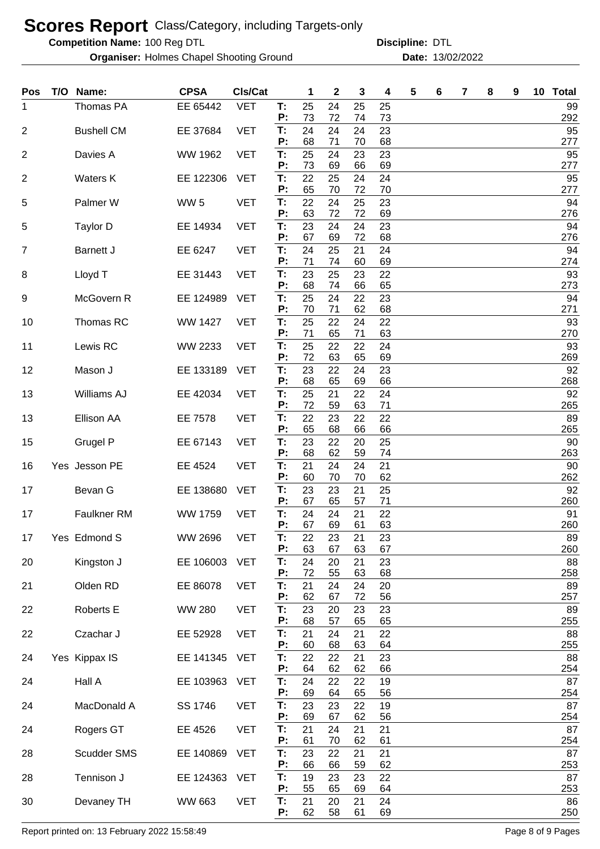**Competition Name:**

**Organiser:** Holmes Chapel Shooting Ground **13/02/2022 Date:** 13/02/2022

100 Reg DTL **Discipline:** DTL

| <b>Pos</b>     | T/O Name:         | <b>CPSA</b>     | CIs/Cat    |          | 1        | $\boldsymbol{2}$ | 3        | 4        | 5 | 6 | 7 | 8 | 9 | 10 Total  |
|----------------|-------------------|-----------------|------------|----------|----------|------------------|----------|----------|---|---|---|---|---|-----------|
| 1              | Thomas PA         | EE 65442        | <b>VET</b> | T:<br>P: | 25<br>73 | 24<br>72         | 25<br>74 | 25<br>73 |   |   |   |   |   | 99<br>292 |
| $\overline{2}$ | <b>Bushell CM</b> | EE 37684        | <b>VET</b> | T:       | 24       | 24               | 24       | 23       |   |   |   |   |   | 95        |
| $\overline{2}$ | Davies A          | WW 1962         | <b>VET</b> | P:<br>T: | 68<br>25 | 71<br>24         | 70<br>23 | 68<br>23 |   |   |   |   |   | 277<br>95 |
|                |                   |                 | <b>VET</b> | P:<br>T: | 73<br>22 | 69<br>25         | 66<br>24 | 69       |   |   |   |   |   | 277<br>95 |
| $\overline{2}$ | <b>Waters K</b>   | EE 122306       |            | P:       | 65       | 70               | 72       | 24<br>70 |   |   |   |   |   | 277       |
| 5              | Palmer W          | WW <sub>5</sub> | <b>VET</b> | T:<br>P: | 22<br>63 | 24<br>72         | 25<br>72 | 23<br>69 |   |   |   |   |   | 94<br>276 |
| 5              | <b>Taylor D</b>   | EE 14934        | <b>VET</b> | T:       | 23       | 24               | 24       | 23       |   |   |   |   |   | 94        |
| 7              | <b>Barnett J</b>  | EE 6247         | <b>VET</b> | P:<br>T: | 67<br>24 | 69<br>25         | 72<br>21 | 68<br>24 |   |   |   |   |   | 276<br>94 |
|                |                   |                 |            | P:       | 71       | 74               | 60       | 69       |   |   |   |   |   | 274       |
| 8              | Lloyd T           | EE 31443        | <b>VET</b> | T:<br>P: | 23<br>68 | 25<br>74         | 23<br>66 | 22<br>65 |   |   |   |   |   | 93<br>273 |
| 9              | McGovern R        | EE 124989       | <b>VET</b> | T:       | 25       | 24               | 22       | 23       |   |   |   |   |   | 94        |
| 10             | Thomas RC         | WW 1427         | <b>VET</b> | P:<br>T: | 70<br>25 | 71<br>22         | 62<br>24 | 68<br>22 |   |   |   |   |   | 271<br>93 |
|                |                   |                 |            | P:       | 71       | 65               | 71       | 63       |   |   |   |   |   | 270       |
| 11             | Lewis RC          | WW 2233         | <b>VET</b> | T:<br>P: | 25<br>72 | 22<br>63         | 22<br>65 | 24<br>69 |   |   |   |   |   | 93<br>269 |
| 12             | Mason J           | EE 133189       | <b>VET</b> | T:       | 23       | 22               | 24       | 23       |   |   |   |   |   | 92        |
|                |                   |                 |            | P:       | 68       | 65               | 69       | 66       |   |   |   |   |   | 268       |
| 13             | Williams AJ       | EE 42034        | <b>VET</b> | T:<br>P: | 25<br>72 | 21<br>59         | 22<br>63 | 24<br>71 |   |   |   |   |   | 92<br>265 |
| 13             | Ellison AA        | EE 7578         | <b>VET</b> | T:       | 22       | 23               | 22       | 22       |   |   |   |   |   | 89        |
| 15             | Grugel P          | EE 67143        | <b>VET</b> | P:<br>T: | 65<br>23 | 68<br>22         | 66<br>20 | 66<br>25 |   |   |   |   |   | 265<br>90 |
|                |                   |                 |            | P:       | 68       | 62               | 59       | 74       |   |   |   |   |   | 263       |
| 16             | Yes Jesson PE     | EE 4524         | <b>VET</b> | T:<br>P: | 21<br>60 | 24<br>70         | 24<br>70 | 21<br>62 |   |   |   |   |   | 90<br>262 |
| 17             | Bevan G           | EE 138680       | <b>VET</b> | T:       | 23       | 23               | 21       | 25       |   |   |   |   |   | 92        |
| 17             | Faulkner RM       | WW 1759         | <b>VET</b> | P:<br>T: | 67<br>24 | 65<br>24         | 57<br>21 | 71<br>22 |   |   |   |   |   | 260<br>91 |
|                |                   |                 |            | P:       | 67       | 69               | 61       | 63       |   |   |   |   |   | 260       |
| 17             | Yes Edmond S      | WW 2696         | <b>VET</b> | Т.<br>P: | 22<br>63 | 23<br>67         | 21<br>63 | 23<br>67 |   |   |   |   |   | 89<br>260 |
| 20             | Kingston J        | EE 106003       | <b>VET</b> | T:       | 24       | 20               | 21       | 23       |   |   |   |   |   | 88        |
| 21             | Olden RD          | EE 86078        | <b>VET</b> | P:<br>T: | 72<br>21 | 55<br>24         | 63<br>24 | 68<br>20 |   |   |   |   |   | 258<br>89 |
|                |                   |                 |            | P:       | 62       | 67               | 72       | 56       |   |   |   |   |   | 257       |
| 22             | Roberts E         | <b>WW 280</b>   | <b>VET</b> | T:<br>P: | 23<br>68 | 20<br>57         | 23<br>65 | 23<br>65 |   |   |   |   |   | 89<br>255 |
| 22             | Czachar J         | EE 52928        | <b>VET</b> | T:       | 21       | 24               | 21       | 22       |   |   |   |   |   | 88        |
|                |                   |                 | <b>VET</b> | P:<br>T: | 60<br>22 | 68<br>22         | 63<br>21 | 64<br>23 |   |   |   |   |   | 255<br>88 |
| 24             | Yes Kippax IS     | EE 141345       |            | P:       | 64       | 62               | 62       | 66       |   |   |   |   |   | 254       |
| 24             | Hall A            | EE 103963       | <b>VET</b> | T:<br>P: | 24<br>69 | 22<br>64         | 22<br>65 | 19<br>56 |   |   |   |   |   | 87<br>254 |
| 24             | MacDonald A       | SS 1746         | <b>VET</b> | T:       | 23       | 23               | 22       | 19       |   |   |   |   |   | 87        |
|                |                   |                 |            | P:       | 69       | 67               | 62       | 56       |   |   |   |   |   | 254       |
| 24             | Rogers GT         | EE 4526         | <b>VET</b> | T:<br>P: | 21<br>61 | 24<br>70         | 21<br>62 | 21<br>61 |   |   |   |   |   | 87<br>254 |
| 28             | Scudder SMS       | EE 140869       | <b>VET</b> | T:       | 23       | 22               | 21       | 21       |   |   |   |   |   | 87        |
| 28             | Tennison J        | EE 124363       | <b>VET</b> | P:<br>T: | 66<br>19 | 66<br>23         | 59<br>23 | 62<br>22 |   |   |   |   |   | 253<br>87 |
|                |                   |                 |            | P:       | 55       | 65               | 69       | 64       |   |   |   |   |   | 253       |
| 30             | Devaney TH        | WW 663          | <b>VET</b> | T:<br>P: | 21<br>62 | 20<br>58         | 21<br>61 | 24<br>69 |   |   |   |   |   | 86<br>250 |

Report printed on: 13 February 2022 15:58:49 Page 8 of 9 Pages